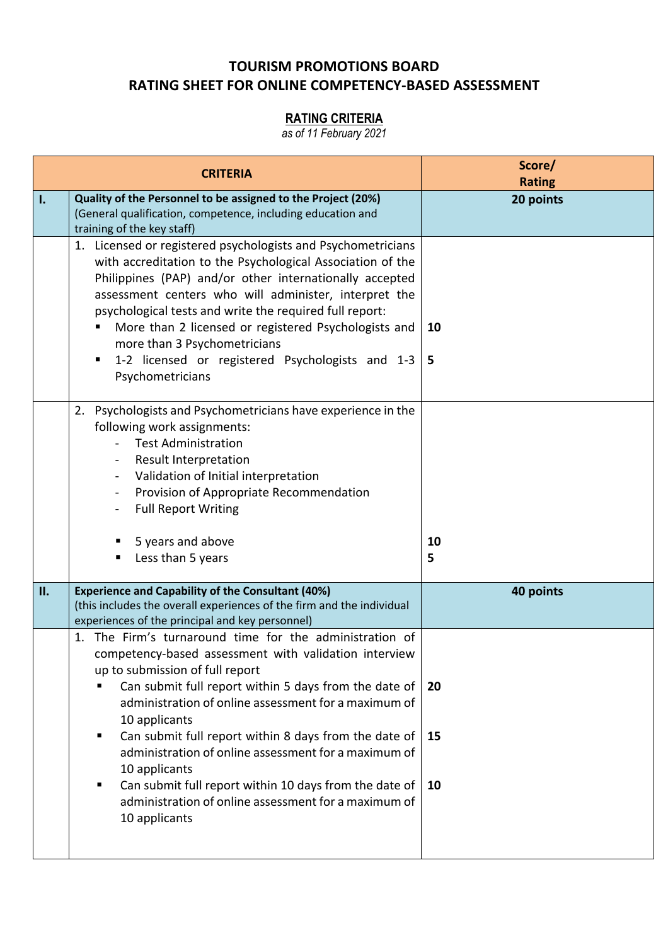## **TOURISM PROMOTIONS BOARD RATING SHEET FOR ONLINE COMPETENCY-BASED ASSESSMENT**

## **RATING CRITERIA**

*as of 11 February 2021*

| <b>CRITERIA</b> |                                                                                                                                                                                                                                                                                                                                                                                                                                                                                                                                                                           | Score/<br><b>Rating</b> |
|-----------------|---------------------------------------------------------------------------------------------------------------------------------------------------------------------------------------------------------------------------------------------------------------------------------------------------------------------------------------------------------------------------------------------------------------------------------------------------------------------------------------------------------------------------------------------------------------------------|-------------------------|
| I.              | Quality of the Personnel to be assigned to the Project (20%)<br>(General qualification, competence, including education and<br>training of the key staff)                                                                                                                                                                                                                                                                                                                                                                                                                 | 20 points               |
|                 | 1. Licensed or registered psychologists and Psychometricians<br>with accreditation to the Psychological Association of the<br>Philippines (PAP) and/or other internationally accepted<br>assessment centers who will administer, interpret the<br>psychological tests and write the required full report:<br>More than 2 licensed or registered Psychologists and<br>more than 3 Psychometricians<br>1-2 licensed or registered Psychologists and 1-3<br>Psychometricians                                                                                                 | 10<br>5                 |
|                 | Psychologists and Psychometricians have experience in the<br>2.<br>following work assignments:<br><b>Test Administration</b><br>Result Interpretation<br>Validation of Initial interpretation<br>Provision of Appropriate Recommendation<br>$\qquad \qquad \blacksquare$<br><b>Full Report Writing</b><br>5 years and above<br>п<br>Less than 5 years<br>п                                                                                                                                                                                                                | 10<br>5                 |
| <b>II.</b>      | <b>Experience and Capability of the Consultant (40%)</b><br>(this includes the overall experiences of the firm and the individual<br>experiences of the principal and key personnel)                                                                                                                                                                                                                                                                                                                                                                                      | 40 points               |
|                 | 1. The Firm's turnaround time for the administration of<br>competency-based assessment with validation interview<br>up to submission of full report<br>Can submit full report within 5 days from the date of<br>٠<br>administration of online assessment for a maximum of<br>10 applicants<br>Can submit full report within 8 days from the date of<br>٠<br>administration of online assessment for a maximum of<br>10 applicants<br>Can submit full report within 10 days from the date of<br>٠<br>administration of online assessment for a maximum of<br>10 applicants | 20<br>15<br>10          |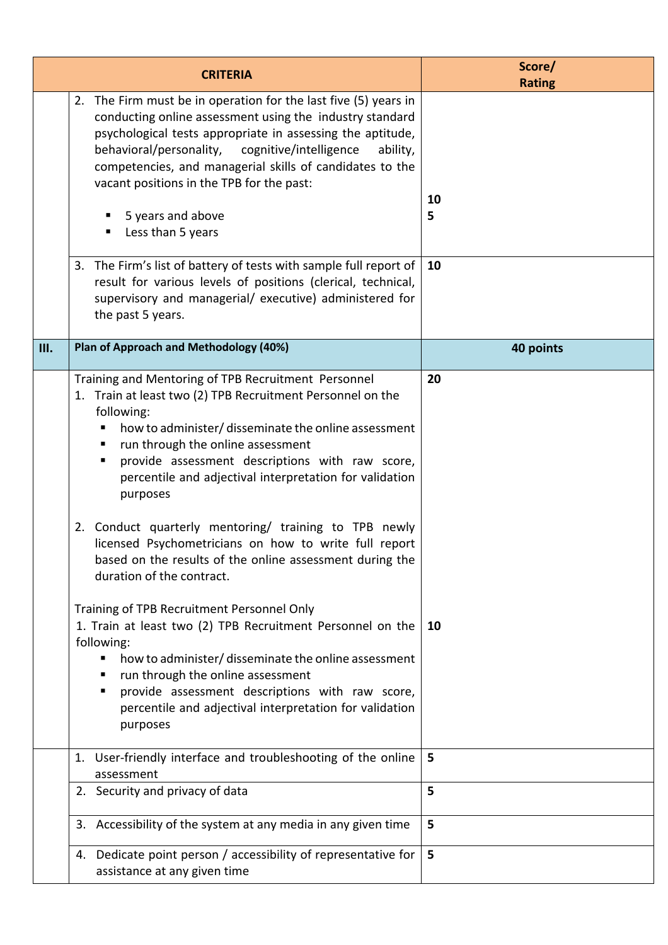| <b>CRITERIA</b> |                                                                                                                                                                                                                                                                                                                                                                                                                                                                                                                                                                                                                                                                                                                                                                                                                                                                                                                                   | Score/<br><b>Rating</b> |
|-----------------|-----------------------------------------------------------------------------------------------------------------------------------------------------------------------------------------------------------------------------------------------------------------------------------------------------------------------------------------------------------------------------------------------------------------------------------------------------------------------------------------------------------------------------------------------------------------------------------------------------------------------------------------------------------------------------------------------------------------------------------------------------------------------------------------------------------------------------------------------------------------------------------------------------------------------------------|-------------------------|
|                 | 2. The Firm must be in operation for the last five (5) years in<br>conducting online assessment using the industry standard<br>psychological tests appropriate in assessing the aptitude,<br>behavioral/personality, cognitive/intelligence<br>ability,<br>competencies, and managerial skills of candidates to the<br>vacant positions in the TPB for the past:<br>5 years and above<br>Less than 5 years                                                                                                                                                                                                                                                                                                                                                                                                                                                                                                                        | 10<br>5                 |
|                 | 3. The Firm's list of battery of tests with sample full report of $\vert$ 10<br>result for various levels of positions (clerical, technical,<br>supervisory and managerial/ executive) administered for<br>the past 5 years.                                                                                                                                                                                                                                                                                                                                                                                                                                                                                                                                                                                                                                                                                                      |                         |
| <b>III.</b>     | Plan of Approach and Methodology (40%)                                                                                                                                                                                                                                                                                                                                                                                                                                                                                                                                                                                                                                                                                                                                                                                                                                                                                            | 40 points               |
|                 | Training and Mentoring of TPB Recruitment Personnel<br>1. Train at least two (2) TPB Recruitment Personnel on the<br>following:<br>how to administer/ disseminate the online assessment<br>run through the online assessment<br>п<br>provide assessment descriptions with raw score,<br>п<br>percentile and adjectival interpretation for validation<br>purposes<br>2. Conduct quarterly mentoring/ training to TPB newly<br>licensed Psychometricians on how to write full report<br>based on the results of the online assessment during the<br>duration of the contract.<br>Training of TPB Recruitment Personnel Only<br>1. Train at least two (2) TPB Recruitment Personnel on the<br>following:<br>how to administer/ disseminate the online assessment<br>run through the online assessment<br>provide assessment descriptions with raw score,<br>٠<br>percentile and adjectival interpretation for validation<br>purposes | 20<br>10                |
|                 | 1. User-friendly interface and troubleshooting of the online<br>assessment                                                                                                                                                                                                                                                                                                                                                                                                                                                                                                                                                                                                                                                                                                                                                                                                                                                        | 5                       |
|                 | 2. Security and privacy of data                                                                                                                                                                                                                                                                                                                                                                                                                                                                                                                                                                                                                                                                                                                                                                                                                                                                                                   | 5                       |
|                 | 3. Accessibility of the system at any media in any given time                                                                                                                                                                                                                                                                                                                                                                                                                                                                                                                                                                                                                                                                                                                                                                                                                                                                     | 5                       |
|                 | 4. Dedicate point person / accessibility of representative for<br>assistance at any given time                                                                                                                                                                                                                                                                                                                                                                                                                                                                                                                                                                                                                                                                                                                                                                                                                                    | 5                       |